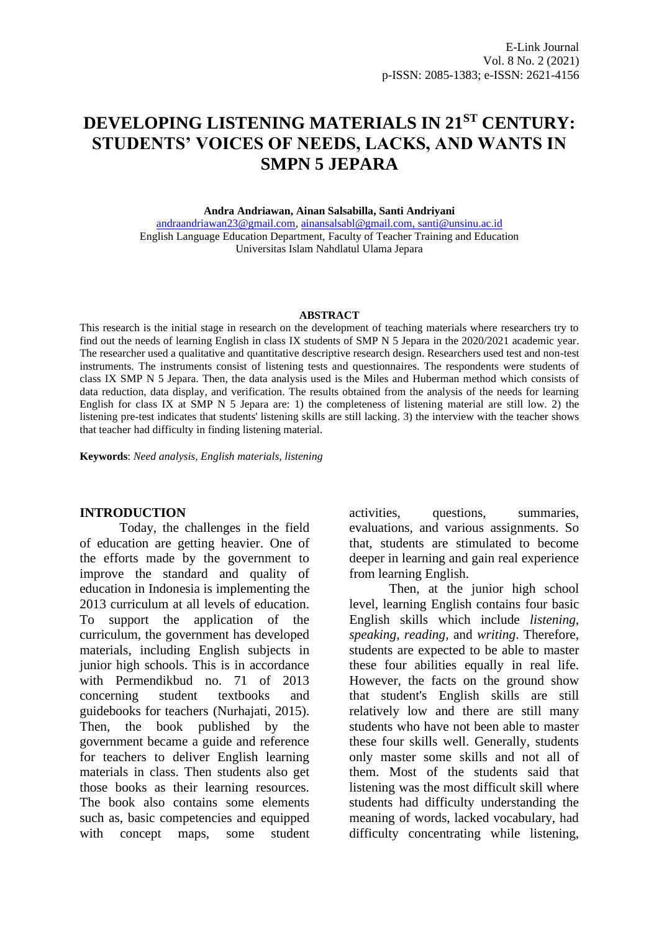# **DEVELOPING LISTENING MATERIALS IN 21ST CENTURY: STUDENTS' VOICES OF NEEDS, LACKS, AND WANTS IN SMPN 5 JEPARA**

**Andra Andriawan, Ainan Salsabilla, Santi Andriyani**

[andraandriawan23@gmail.com,](mailto:andraandriawan23@gmail.com) [ainansalsabl@gmail.com,](mailto:ainansalsabl@gmail.com) [santi@unsinu.ac.id](mailto:santi@unsinu.ac.id) English Language Education Department, Faculty of Teacher Training and Education Universitas Islam Nahdlatul Ulama Jepara

#### **ABSTRACT**

This research is the initial stage in research on the development of teaching materials where researchers try to find out the needs of learning English in class IX students of SMP N 5 Jepara in the 2020/2021 academic year. The researcher used a qualitative and quantitative descriptive research design. Researchers used test and non-test instruments. The instruments consist of listening tests and questionnaires. The respondents were students of class IX SMP N 5 Jepara. Then, the data analysis used is the Miles and Huberman method which consists of data reduction, data display, and verification. The results obtained from the analysis of the needs for learning English for class IX at SMP N 5 Jepara are: 1) the completeness of listening material are still low. 2) the listening pre-test indicates that students' listening skills are still lacking. 3) the interview with the teacher shows that teacher had difficulty in finding listening material.

**Keywords**: *Need analysis, English materials, listening*

#### **INTRODUCTION**

Today, the challenges in the field of education are getting heavier. One of the efforts made by the government to improve the standard and quality of education in Indonesia is implementing the 2013 curriculum at all levels of education. To support the application of the curriculum, the government has developed materials, including English subjects in junior high schools. This is in accordance with Permendikbud no. 71 of 2013 concerning student textbooks and guidebooks for teachers (Nurhajati, 2015). Then, the book published by the government became a guide and reference for teachers to deliver English learning materials in class. Then students also get those books as their learning resources. The book also contains some elements such as, basic competencies and equipped with concept maps, some student activities, questions, summaries, evaluations, and various assignments. So that, students are stimulated to become deeper in learning and gain real experience from learning English.

Then, at the junior high school level, learning English contains four basic English skills which include *listening, speaking, reading,* and *writing*. Therefore, students are expected to be able to master these four abilities equally in real life. However, the facts on the ground show that student's English skills are still relatively low and there are still many students who have not been able to master these four skills well. Generally, students only master some skills and not all of them. Most of the students said that listening was the most difficult skill where students had difficulty understanding the meaning of words, lacked vocabulary, had difficulty concentrating while listening,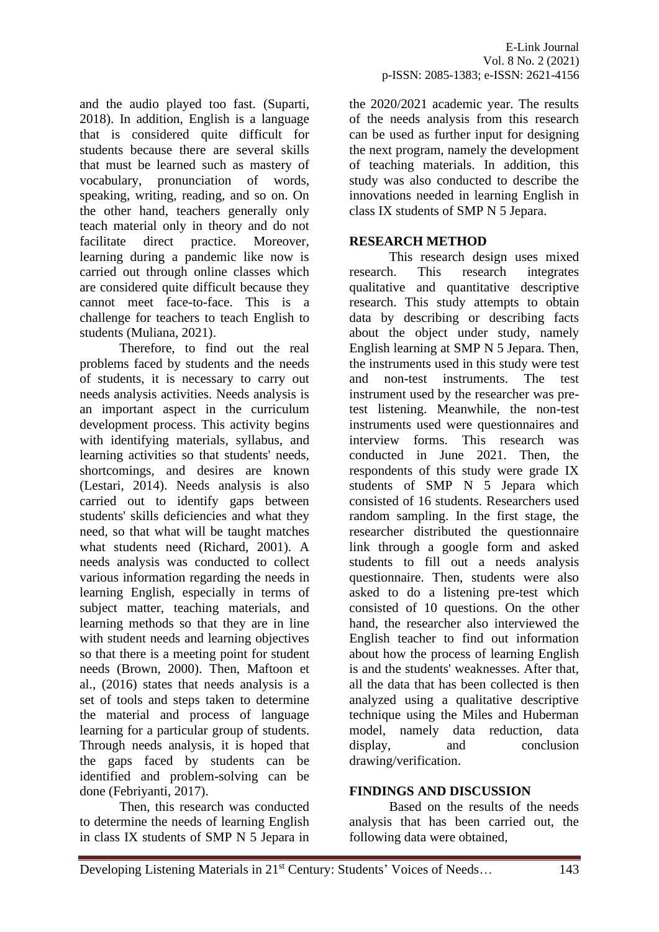and the audio played too fast. (Suparti, 2018). In addition, English is a language that is considered quite difficult for students because there are several skills that must be learned such as mastery of vocabulary, pronunciation of words, speaking, writing, reading, and so on. On the other hand, teachers generally only teach material only in theory and do not facilitate direct practice. Moreover, learning during a pandemic like now is carried out through online classes which are considered quite difficult because they cannot meet face-to-face. This is a challenge for teachers to teach English to students (Muliana, 2021).

Therefore, to find out the real problems faced by students and the needs of students, it is necessary to carry out needs analysis activities. Needs analysis is an important aspect in the curriculum development process. This activity begins with identifying materials, syllabus, and learning activities so that students' needs, shortcomings, and desires are known (Lestari, 2014). Needs analysis is also carried out to identify gaps between students' skills deficiencies and what they need, so that what will be taught matches what students need (Richard, 2001). A needs analysis was conducted to collect various information regarding the needs in learning English, especially in terms of subject matter, teaching materials, and learning methods so that they are in line with student needs and learning objectives so that there is a meeting point for student needs (Brown, 2000). Then, Maftoon et al., (2016) states that needs analysis is a set of tools and steps taken to determine the material and process of language learning for a particular group of students. Through needs analysis, it is hoped that the gaps faced by students can be identified and problem-solving can be done (Febriyanti, 2017).

Then, this research was conducted to determine the needs of learning English in class IX students of SMP N 5 Jepara in

the 2020/2021 academic year. The results of the needs analysis from this research can be used as further input for designing the next program, namely the development of teaching materials. In addition, this study was also conducted to describe the innovations needed in learning English in class IX students of SMP N 5 Jepara.

# **RESEARCH METHOD**

This research design uses mixed research. This research integrates qualitative and quantitative descriptive research. This study attempts to obtain data by describing or describing facts about the object under study, namely English learning at SMP N 5 Jepara. Then, the instruments used in this study were test and non-test instruments. The test instrument used by the researcher was pretest listening. Meanwhile, the non-test instruments used were questionnaires and interview forms. This research was conducted in June 2021. Then, the respondents of this study were grade IX students of SMP N 5 Jepara which consisted of 16 students. Researchers used random sampling. In the first stage, the researcher distributed the questionnaire link through a google form and asked students to fill out a needs analysis questionnaire. Then, students were also asked to do a listening pre-test which consisted of 10 questions. On the other hand, the researcher also interviewed the English teacher to find out information about how the process of learning English is and the students' weaknesses. After that all the data that has been collected is then analyzed using a qualitative descriptive technique using the Miles and Huberman model, namely data reduction, data display, and conclusion drawing/verification.

# **FINDINGS AND DISCUSSION**

Based on the results of the needs analysis that has been carried out, the following data were obtained,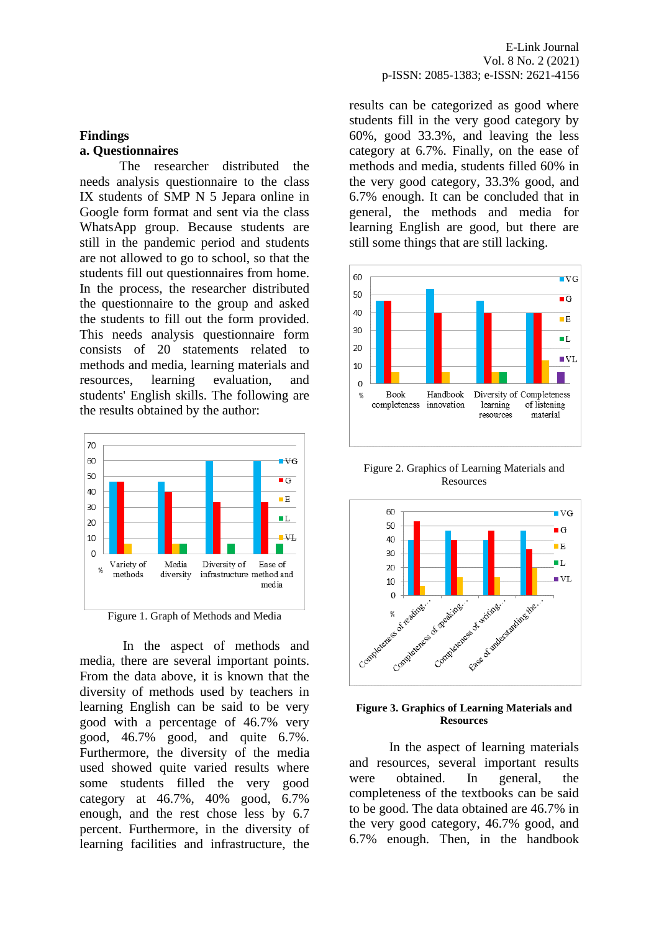### **Findings a. Questionnaires**

The researcher distributed the needs analysis questionnaire to the class IX students of SMP N 5 Jepara online in Google form format and sent via the class WhatsApp group. Because students are still in the pandemic period and students are not allowed to go to school, so that the students fill out questionnaires from home. In the process, the researcher distributed the questionnaire to the group and asked the students to fill out the form provided. This needs analysis questionnaire form consists of 20 statements related to methods and media, learning materials and resources, learning evaluation, and students' English skills. The following are the results obtained by the author:





In the aspect of methods and media, there are several important points. From the data above, it is known that the diversity of methods used by teachers in learning English can be said to be very good with a percentage of 46.7% very good, 46.7% good, and quite 6.7%. Furthermore, the diversity of the media used showed quite varied results where some students filled the very good category at 46.7%, 40% good, 6.7% enough, and the rest chose less by 6.7 percent. Furthermore, in the diversity of learning facilities and infrastructure, the

results can be categorized as good where students fill in the very good category by 60%, good 33.3%, and leaving the less category at 6.7%. Finally, on the ease of methods and media, students filled 60% in the very good category, 33.3% good, and 6.7% enough. It can be concluded that in general, the methods and media for learning English are good, but there are still some things that are still lacking.



Figure 2. Graphics of Learning Materials and Resources



#### **Figure 3. Graphics of Learning Materials and Resources**

In the aspect of learning materials and resources, several important results were obtained. In general, the completeness of the textbooks can be said to be good. The data obtained are 46.7% in the very good category, 46.7% good, and 6.7% enough. Then, in the handbook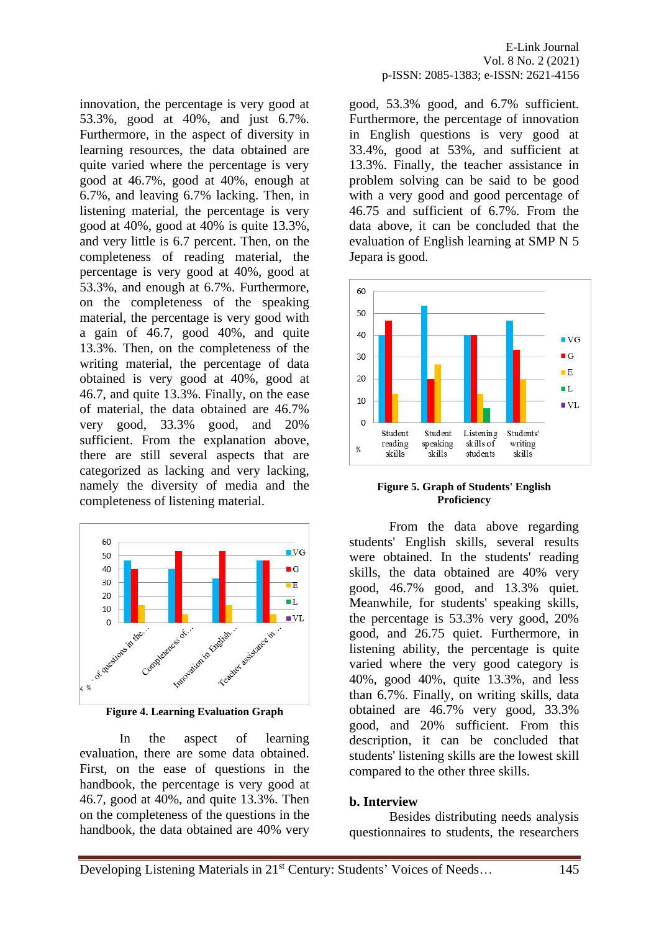innovation, the percentage is very good at 53.3%, good at 40%, and just 6.7%. Furthermore, in the aspect of diversity in learning resources, the data obtained are quite varied where the percentage is very good at 46.7%, good at 40%, enough at 6.7%, and leaving 6.7% lacking. Then, in listening material, the percentage is very good at 40%, good at 40% is quite 13.3%, and very little is 6.7 percent. Then, on the completeness of reading material, the percentage is very good at 40%, good at 53.3%, and enough at 6.7%. Furthermore, on the completeness of the speaking material, the percentage is very good with a gain of 46.7, good 40%, and quite 13.3%. Then, on the completeness of the writing material, the percentage of data obtained is very good at 40%, good at 46.7, and quite 13.3%. Finally, on the ease of material, the data obtained are 46.7% very good, 33.3% good, and 20% sufficient. From the explanation above, there are still several aspects that are categorized as lacking and very lacking, namely the diversity of media and the completeness of listening material.



**Figure 4. Learning Evaluation Graph**

In the aspect of learning evaluation, there are some data obtained. First, on the ease of questions in the handbook, the percentage is very good at 46.7, good at 40%, and quite 13.3%. Then on the completeness of the questions in the handbook, the data obtained are 40% very

good, 53.3% good, and 6.7% sufficient. Furthermore, the percentage of innovation in English questions is very good at 33.4%, good at 53%, and sufficient at 13.3%. Finally, the teacher assistance in problem solving can be said to be good with a very good and good percentage of 46.75 and sufficient of 6.7%. From the data above, it can be concluded that the evaluation of English learning at SMP N 5 Jepara is good.



#### **Figure 5. Graph of Students' English Proficiency**

From the data above regarding students' English skills, several results were obtained. In the students' reading skills, the data obtained are 40% very good, 46.7% good, and 13.3% quiet. Meanwhile, for students' speaking skills, the percentage is 53.3% very good, 20% good, and 26.75 quiet. Furthermore, in listening ability, the percentage is quite varied where the very good category is 40%, good 40%, quite 13.3%, and less than 6.7%. Finally, on writing skills, data obtained are 46.7% very good, 33.3% good, and 20% sufficient. From this description, it can be concluded that students' listening skills are the lowest skill compared to the other three skills.

### **b. Interview**

Besides distributing needs analysis questionnaires to students, the researchers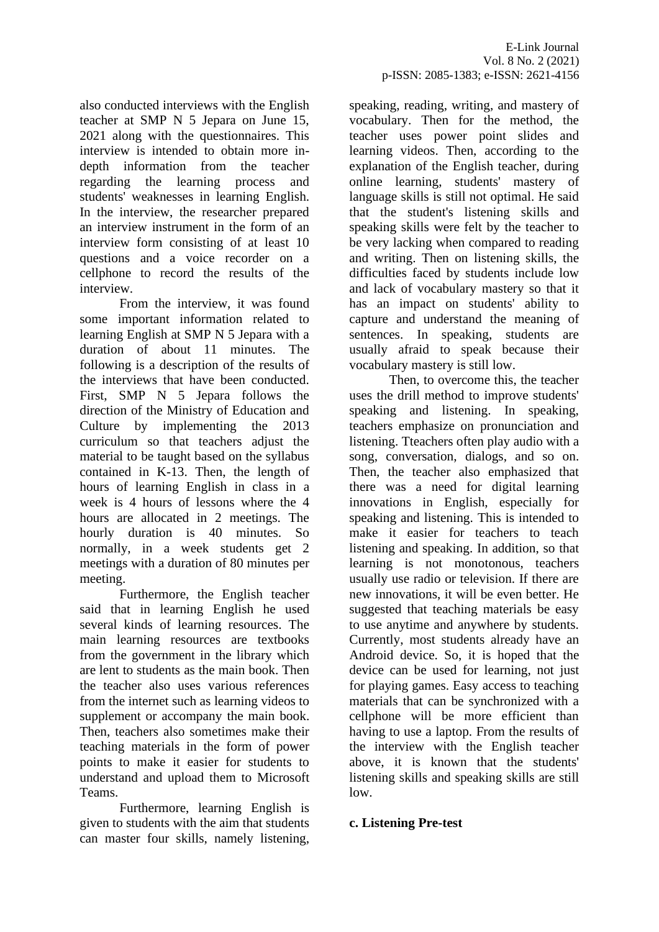also conducted interviews with the English teacher at SMP N 5 Jepara on June 15, 2021 along with the questionnaires. This interview is intended to obtain more indepth information from the teacher regarding the learning process and students' weaknesses in learning English. In the interview, the researcher prepared an interview instrument in the form of an interview form consisting of at least 10 questions and a voice recorder on a cellphone to record the results of the interview.

From the interview, it was found some important information related to learning English at SMP N 5 Jepara with a duration of about 11 minutes. The following is a description of the results of the interviews that have been conducted. First, SMP N 5 Jepara follows the direction of the Ministry of Education and Culture by implementing the 2013 curriculum so that teachers adjust the material to be taught based on the syllabus contained in K-13. Then, the length of hours of learning English in class in a week is 4 hours of lessons where the 4 hours are allocated in 2 meetings. The hourly duration is 40 minutes. So normally, in a week students get 2 meetings with a duration of 80 minutes per meeting.

Furthermore, the English teacher said that in learning English he used several kinds of learning resources. The main learning resources are textbooks from the government in the library which are lent to students as the main book. Then the teacher also uses various references from the internet such as learning videos to supplement or accompany the main book. Then, teachers also sometimes make their teaching materials in the form of power points to make it easier for students to understand and upload them to Microsoft Teams.

Furthermore, learning English is given to students with the aim that students can master four skills, namely listening, speaking, reading, writing, and mastery of vocabulary. Then for the method, the teacher uses power point slides and learning videos. Then, according to the explanation of the English teacher, during online learning, students' mastery of language skills is still not optimal. He said that the student's listening skills and speaking skills were felt by the teacher to be very lacking when compared to reading and writing. Then on listening skills, the difficulties faced by students include low and lack of vocabulary mastery so that it has an impact on students' ability to capture and understand the meaning of sentences. In speaking, students are usually afraid to speak because their vocabulary mastery is still low.

Then, to overcome this, the teacher uses the drill method to improve students' speaking and listening. In speaking, teachers emphasize on pronunciation and listening. Tteachers often play audio with a song, conversation, dialogs, and so on. Then, the teacher also emphasized that there was a need for digital learning innovations in English, especially for speaking and listening. This is intended to make it easier for teachers to teach listening and speaking. In addition, so that learning is not monotonous, teachers usually use radio or television. If there are new innovations, it will be even better. He suggested that teaching materials be easy to use anytime and anywhere by students. Currently, most students already have an Android device. So, it is hoped that the device can be used for learning, not just for playing games. Easy access to teaching materials that can be synchronized with a cellphone will be more efficient than having to use a laptop. From the results of the interview with the English teacher above, it is known that the students' listening skills and speaking skills are still low.

# **c. Listening Pre-test**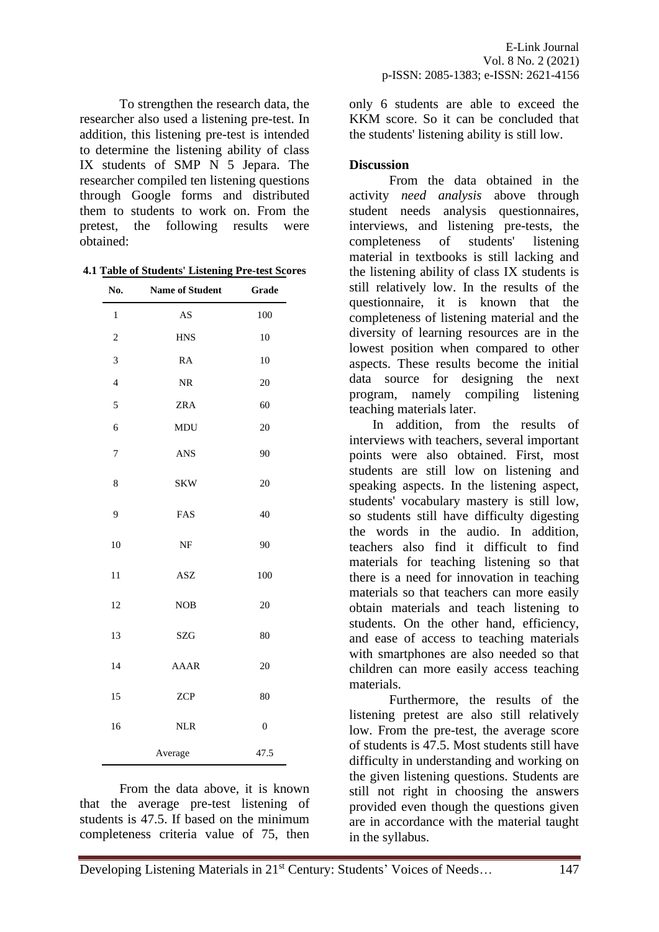To strengthen the research data, the researcher also used a listening pre-test. In addition, this listening pre-test is intended to determine the listening ability of class IX students of SMP N 5 Jepara. The researcher compiled ten listening questions through Google forms and distributed them to students to work on. From the pretest, the following results were obtained:

**4.1 Table of Students' Listening Pre-test Scores**

| No.            | Name of Student        | Grade            |
|----------------|------------------------|------------------|
| $\,1$          | $\mathbf{A}\mathbf{S}$ | 100              |
| $\overline{c}$ | <b>HNS</b>             | 10               |
| 3              | <b>RA</b>              | 10               |
| $\overline{4}$ | $\rm NR$               | 20               |
| 5              | ZRA                    | 60               |
| 6              | <b>MDU</b>             | 20               |
| 7              | <b>ANS</b>             | 90               |
| 8              | <b>SKW</b>             | 20               |
| 9              | FAS                    | 40               |
| 10             | NF                     | 90               |
| 11             | <b>ASZ</b>             | 100              |
| 12             | <b>NOB</b>             | 20               |
| 13             | SZG                    | 80               |
| 14             | <b>AAAR</b>            | 20               |
| 15             | <b>ZCP</b>             | 80               |
| 16             | <b>NLR</b>             | $\boldsymbol{0}$ |
|                | Average                | 47.5             |

From the data above, it is known that the average pre-test listening of students is 47.5. If based on the minimum completeness criteria value of 75, then only 6 students are able to exceed the KKM score. So it can be concluded that the students' listening ability is still low.

### **Discussion**

From the data obtained in the activity *need analysis* above through student needs analysis questionnaires, interviews, and listening pre-tests, the completeness of students' listening material in textbooks is still lacking and the listening ability of class IX students is still relatively low. In the results of the questionnaire, it is known that the completeness of listening material and the diversity of learning resources are in the lowest position when compared to other aspects. These results become the initial data source for designing the next program, namely compiling listening teaching materials later.

In addition, from the results of interviews with teachers, several important points were also obtained. First, most students are still low on listening and speaking aspects. In the listening aspect, students' vocabulary mastery is still low, so students still have difficulty digesting the words in the audio. In addition, teachers also find it difficult to find materials for teaching listening so that there is a need for innovation in teaching materials so that teachers can more easily obtain materials and teach listening to students. On the other hand, efficiency, and ease of access to teaching materials with smartphones are also needed so that children can more easily access teaching materials.

Furthermore, the results of the listening pretest are also still relatively low. From the pre-test, the average score of students is 47.5. Most students still have difficulty in understanding and working on the given listening questions. Students are still not right in choosing the answers provided even though the questions given are in accordance with the material taught in the syllabus.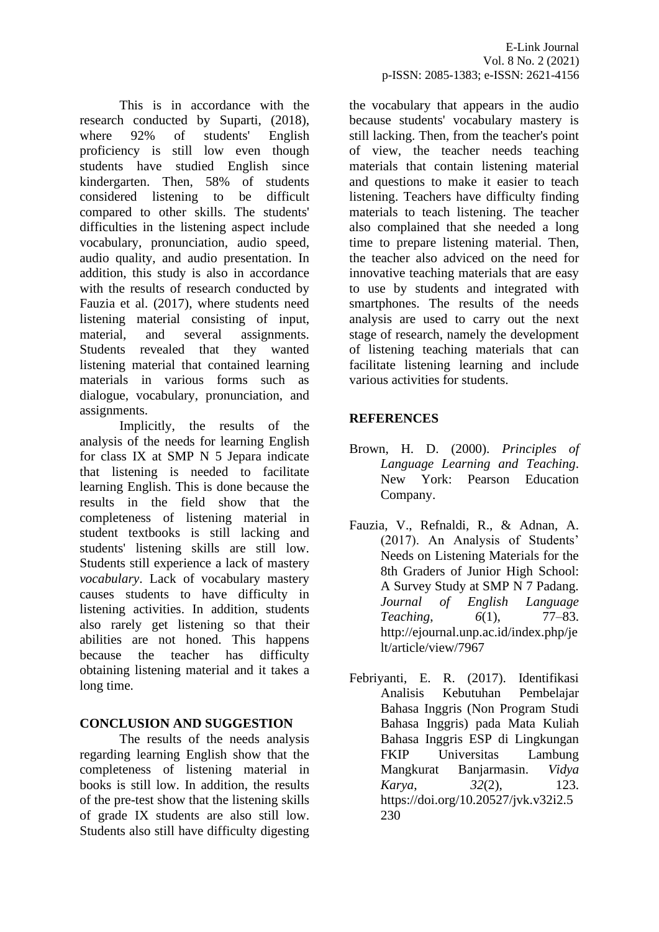This is in accordance with the research conducted by Suparti, (2018), where 92% of students' English proficiency is still low even though students have studied English since kindergarten. Then, 58% of students considered listening to be difficult compared to other skills. The students' difficulties in the listening aspect include vocabulary, pronunciation, audio speed, audio quality, and audio presentation. In addition, this study is also in accordance with the results of research conducted by Fauzia et al. (2017), where students need listening material consisting of input, material, and several assignments. Students revealed that they wanted listening material that contained learning materials in various forms such as dialogue, vocabulary, pronunciation, and assignments.

Implicitly, the results of the analysis of the needs for learning English for class IX at SMP N 5 Jepara indicate that listening is needed to facilitate learning English. This is done because the results in the field show that the completeness of listening material in student textbooks is still lacking and students' listening skills are still low. Students still experience a lack of mastery *vocabulary*. Lack of vocabulary mastery causes students to have difficulty in listening activities. In addition, students also rarely get listening so that their abilities are not honed. This happens because the teacher has difficulty obtaining listening material and it takes a long time.

### **CONCLUSION AND SUGGESTION**

The results of the needs analysis regarding learning English show that the completeness of listening material in books is still low. In addition, the results of the pre-test show that the listening skills of grade IX students are also still low. Students also still have difficulty digesting the vocabulary that appears in the audio because students' vocabulary mastery is still lacking. Then, from the teacher's point of view, the teacher needs teaching materials that contain listening material and questions to make it easier to teach listening. Teachers have difficulty finding materials to teach listening. The teacher also complained that she needed a long time to prepare listening material. Then, the teacher also adviced on the need for innovative teaching materials that are easy to use by students and integrated with smartphones. The results of the needs analysis are used to carry out the next stage of research, namely the development of listening teaching materials that can facilitate listening learning and include various activities for students.

# **REFERENCES**

- Brown, H. D. (2000). *Principles of Language Learning and Teaching*. New York: Pearson Education Company.
- Fauzia, V., Refnaldi, R., & Adnan, A. (2017). An Analysis of Students' Needs on Listening Materials for the 8th Graders of Junior High School: A Survey Study at SMP N 7 Padang. *Journal of English Language Teaching*, *6*(1), 77–83. http://ejournal.unp.ac.id/index.php/je lt/article/view/7967
- Febriyanti, E. R. (2017). Identifikasi Analisis Kebutuhan Pembelajar Bahasa Inggris (Non Program Studi Bahasa Inggris) pada Mata Kuliah Bahasa Inggris ESP di Lingkungan FKIP Universitas Lambung Mangkurat Banjarmasin. *Vidya Karya*, *32*(2), 123. https://doi.org/10.20527/jvk.v32i2.5 230